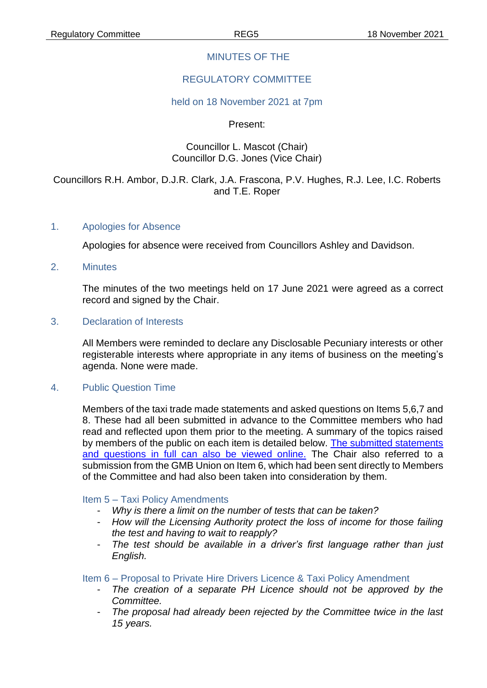### MINUTES OF THE

## REGULATORY COMMITTEE

#### held on 18 November 2021 at 7pm

Present:

### Councillor L. Mascot (Chair) Councillor D.G. Jones (Vice Chair)

### Councillors R.H. Ambor, D.J.R. Clark, J.A. Frascona, P.V. Hughes, R.J. Lee, I.C. Roberts and T.E. Roper

#### 1. Apologies for Absence

Apologies for absence were received from Councillors Ashley and Davidson.

2. Minutes

The minutes of the two meetings held on 17 June 2021 were agreed as a correct record and signed by the Chair.

#### 3. Declaration of Interests

All Members were reminded to declare any Disclosable Pecuniary interests or other registerable interests where appropriate in any items of business on the meeting's agenda. None were made.

#### 4. Public Question Time

Members of the taxi trade made statements and asked questions on Items 5,6,7 and 8. These had all been submitted in advance to the Committee members who had read and reflected upon them prior to the meeting. A summary of the topics raised by members of the public on each item is detailed below. [The submitted statements](https://www.chelmsford.gov.uk/_resources/assets/attachment/full/0/6225799.pdf)  and questions in full [can also be viewed online.](https://www.chelmsford.gov.uk/_resources/assets/attachment/full/0/6225799.pdf) The Chair also referred to a submission from the GMB Union on Item 6, which had been sent directly to Members of the Committee and had also been taken into consideration by them.

#### Item 5 – Taxi Policy Amendments

- *Why is there a limit on the number of tests that can be taken?*
- *How will the Licensing Authority protect the loss of income for those failing the test and having to wait to reapply?*
- *The test should be available in a driver's first language rather than just English.*

### Item 6 – Proposal to Private Hire Drivers Licence & Taxi Policy Amendment

- *The creation of a separate PH Licence should not be approved by the Committee.*
- *The proposal had already been rejected by the Committee twice in the last 15 years.*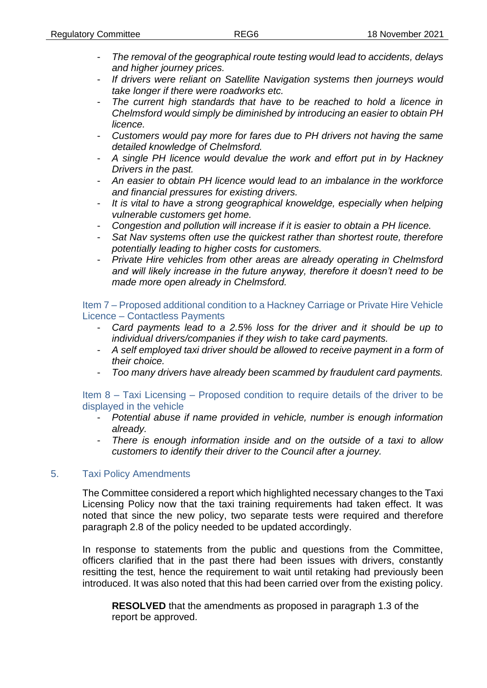- *The removal of the geographical route testing would lead to accidents, delays and higher journey prices.*
- *If drivers were reliant on Satellite Navigation systems then journeys would take longer if there were roadworks etc.*
- The current high standards that have to be reached to hold a licence in *Chelmsford would simply be diminished by introducing an easier to obtain PH licence.*
- *Customers would pay more for fares due to PH drivers not having the same detailed knowledge of Chelmsford.*
- *A single PH licence would devalue the work and effort put in by Hackney Drivers in the past.*
- *An easier to obtain PH licence would lead to an imbalance in the workforce and financial pressures for existing drivers.*
- *It is vital to have a strong geographical knoweldge, especially when helping vulnerable customers get home.*
- *Congestion and pollution will increase if it is easier to obtain a PH licence.*
- *Sat Nav systems often use the quickest rather than shortest route, therefore potentially leading to higher costs for customers.*
- *Private Hire vehicles from other areas are already operating in Chelmsford and will likely increase in the future anyway, therefore it doesn't need to be made more open already in Chelmsford.*

Item 7 – Proposed additional condition to a Hackney Carriage or Private Hire Vehicle Licence – Contactless Payments

- Card payments lead to a 2.5% loss for the driver and it should be up to *individual drivers/companies if they wish to take card payments.*
- *A self employed taxi driver should be allowed to receive payment in a form of their choice.*
- *Too many drivers have already been scammed by fraudulent card payments.*

Item 8 – Taxi Licensing – Proposed condition to require details of the driver to be displayed in the vehicle

- *Potential abuse if name provided in vehicle, number is enough information already.*
- *There is enough information inside and on the outside of a taxi to allow customers to identify their driver to the Council after a journey.*

### 5. Taxi Policy Amendments

The Committee considered a report which highlighted necessary changes to the Taxi Licensing Policy now that the taxi training requirements had taken effect. It was noted that since the new policy, two separate tests were required and therefore paragraph 2.8 of the policy needed to be updated accordingly.

In response to statements from the public and questions from the Committee, officers clarified that in the past there had been issues with drivers, constantly resitting the test, hence the requirement to wait until retaking had previously been introduced. It was also noted that this had been carried over from the existing policy.

**RESOLVED** that the amendments as proposed in paragraph 1.3 of the report be approved.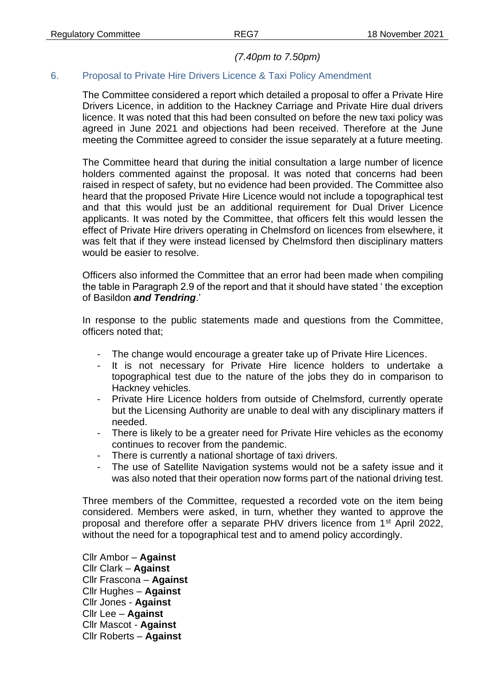### *(7.40pm to 7.50pm)*

# 6. Proposal to Private Hire Drivers Licence & Taxi Policy Amendment

The Committee considered a report which detailed a proposal to offer a Private Hire Drivers Licence, in addition to the Hackney Carriage and Private Hire dual drivers licence. It was noted that this had been consulted on before the new taxi policy was agreed in June 2021 and objections had been received. Therefore at the June meeting the Committee agreed to consider the issue separately at a future meeting.

The Committee heard that during the initial consultation a large number of licence holders commented against the proposal. It was noted that concerns had been raised in respect of safety, but no evidence had been provided. The Committee also heard that the proposed Private Hire Licence would not include a topographical test and that this would just be an additional requirement for Dual Driver Licence applicants. It was noted by the Committee, that officers felt this would lessen the effect of Private Hire drivers operating in Chelmsford on licences from elsewhere, it was felt that if they were instead licensed by Chelmsford then disciplinary matters would be easier to resolve.

Officers also informed the Committee that an error had been made when compiling the table in Paragraph 2.9 of the report and that it should have stated ' the exception of Basildon *and Tendring*.'

In response to the public statements made and questions from the Committee, officers noted that;

- The change would encourage a greater take up of Private Hire Licences.
- It is not necessary for Private Hire licence holders to undertake a topographical test due to the nature of the jobs they do in comparison to Hackney vehicles.
- Private Hire Licence holders from outside of Chelmsford, currently operate but the Licensing Authority are unable to deal with any disciplinary matters if needed.
- There is likely to be a greater need for Private Hire vehicles as the economy continues to recover from the pandemic.
- There is currently a national shortage of taxi drivers.
- The use of Satellite Navigation systems would not be a safety issue and it was also noted that their operation now forms part of the national driving test.

Three members of the Committee, requested a recorded vote on the item being considered. Members were asked, in turn, whether they wanted to approve the proposal and therefore offer a separate PHV drivers licence from 1<sup>st</sup> April 2022, without the need for a topographical test and to amend policy accordingly.

Cllr Ambor – **Against** Cllr Clark – **Against** Cllr Frascona – **Against** Cllr Hughes – **Against** Cllr Jones - **Against** Cllr Lee – **Against** Cllr Mascot - **Against** Cllr Roberts – **Against**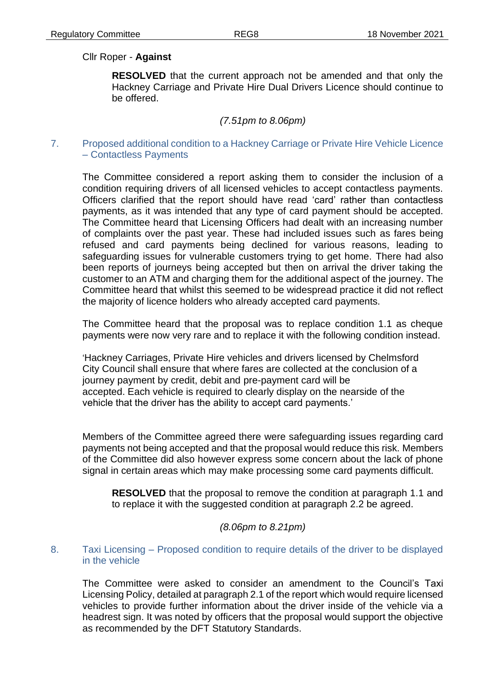## Cllr Roper - **Against**

**RESOLVED** that the current approach not be amended and that only the Hackney Carriage and Private Hire Dual Drivers Licence should continue to be offered.

## *(7.51pm to 8.06pm)*

### 7. Proposed additional condition to a Hackney Carriage or Private Hire Vehicle Licence – Contactless Payments

The Committee considered a report asking them to consider the inclusion of a condition requiring drivers of all licensed vehicles to accept contactless payments. Officers clarified that the report should have read 'card' rather than contactless payments, as it was intended that any type of card payment should be accepted. The Committee heard that Licensing Officers had dealt with an increasing number of complaints over the past year. These had included issues such as fares being refused and card payments being declined for various reasons, leading to safeguarding issues for vulnerable customers trying to get home. There had also been reports of journeys being accepted but then on arrival the driver taking the customer to an ATM and charging them for the additional aspect of the journey. The Committee heard that whilst this seemed to be widespread practice it did not reflect the majority of licence holders who already accepted card payments.

The Committee heard that the proposal was to replace condition 1.1 as cheque payments were now very rare and to replace it with the following condition instead.

'Hackney Carriages, Private Hire vehicles and drivers licensed by Chelmsford City Council shall ensure that where fares are collected at the conclusion of a journey payment by credit, debit and pre-payment card will be accepted. Each vehicle is required to clearly display on the nearside of the vehicle that the driver has the ability to accept card payments.'

Members of the Committee agreed there were safeguarding issues regarding card payments not being accepted and that the proposal would reduce this risk. Members of the Committee did also however express some concern about the lack of phone signal in certain areas which may make processing some card payments difficult.

**RESOLVED** that the proposal to remove the condition at paragraph 1.1 and to replace it with the suggested condition at paragraph 2.2 be agreed.

### *(8.06pm to 8.21pm)*

### 8. Taxi Licensing – Proposed condition to require details of the driver to be displayed in the vehicle

The Committee were asked to consider an amendment to the Council's Taxi Licensing Policy, detailed at paragraph 2.1 of the report which would require licensed vehicles to provide further information about the driver inside of the vehicle via a headrest sign. It was noted by officers that the proposal would support the objective as recommended by the DFT Statutory Standards.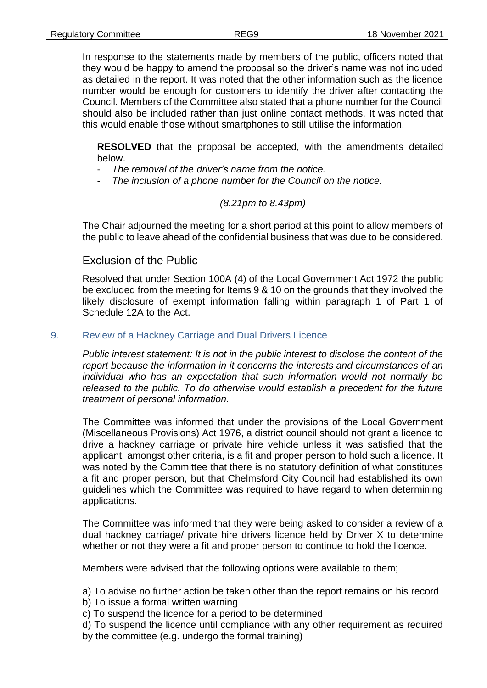In response to the statements made by members of the public, officers noted that they would be happy to amend the proposal so the driver's name was not included as detailed in the report. It was noted that the other information such as the licence number would be enough for customers to identify the driver after contacting the Council. Members of the Committee also stated that a phone number for the Council should also be included rather than just online contact methods. It was noted that this would enable those without smartphones to still utilise the information.

**RESOLVED** that the proposal be accepted, with the amendments detailed below.

- *The removal of the driver's name from the notice.*
- *The inclusion of a phone number for the Council on the notice.*

## *(8.21pm to 8.43pm)*

The Chair adjourned the meeting for a short period at this point to allow members of the public to leave ahead of the confidential business that was due to be considered.

## Exclusion of the Public

Resolved that under Section 100A (4) of the Local Government Act 1972 the public be excluded from the meeting for Items 9 & 10 on the grounds that they involved the likely disclosure of exempt information falling within paragraph 1 of Part 1 of Schedule 12A to the Act.

### 9. Review of a Hackney Carriage and Dual Drivers Licence

*Public interest statement: It is not in the public interest to disclose the content of the report because the information in it concerns the interests and circumstances of an individual who has an expectation that such information would not normally be released to the public. To do otherwise would establish a precedent for the future treatment of personal information.*

The Committee was informed that under the provisions of the Local Government (Miscellaneous Provisions) Act 1976, a district council should not grant a licence to drive a hackney carriage or private hire vehicle unless it was satisfied that the applicant, amongst other criteria, is a fit and proper person to hold such a licence. It was noted by the Committee that there is no statutory definition of what constitutes a fit and proper person, but that Chelmsford City Council had established its own guidelines which the Committee was required to have regard to when determining applications.

The Committee was informed that they were being asked to consider a review of a dual hackney carriage/ private hire drivers licence held by Driver X to determine whether or not they were a fit and proper person to continue to hold the licence.

Members were advised that the following options were available to them;

a) To advise no further action be taken other than the report remains on his record

- b) To issue a formal written warning
- c) To suspend the licence for a period to be determined
- d) To suspend the licence until compliance with any other requirement as required by the committee (e.g. undergo the formal training)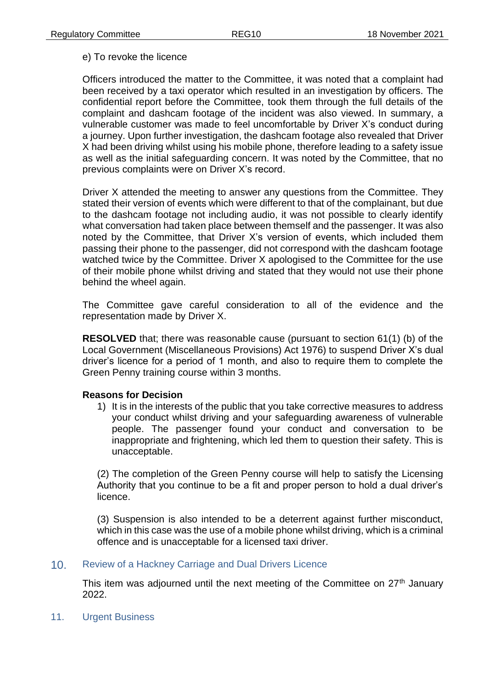### e) To revoke the licence

Officers introduced the matter to the Committee, it was noted that a complaint had been received by a taxi operator which resulted in an investigation by officers. The confidential report before the Committee, took them through the full details of the complaint and dashcam footage of the incident was also viewed. In summary, a vulnerable customer was made to feel uncomfortable by Driver X's conduct during a journey. Upon further investigation, the dashcam footage also revealed that Driver X had been driving whilst using his mobile phone, therefore leading to a safety issue as well as the initial safeguarding concern. It was noted by the Committee, that no previous complaints were on Driver X's record.

Driver X attended the meeting to answer any questions from the Committee. They stated their version of events which were different to that of the complainant, but due to the dashcam footage not including audio, it was not possible to clearly identify what conversation had taken place between themself and the passenger. It was also noted by the Committee, that Driver X's version of events, which included them passing their phone to the passenger, did not correspond with the dashcam footage watched twice by the Committee. Driver X apologised to the Committee for the use of their mobile phone whilst driving and stated that they would not use their phone behind the wheel again.

The Committee gave careful consideration to all of the evidence and the representation made by Driver X.

**RESOLVED** that; there was reasonable cause (pursuant to section 61(1) (b) of the Local Government (Miscellaneous Provisions) Act 1976) to suspend Driver X's dual driver's licence for a period of 1 month, and also to require them to complete the Green Penny training course within 3 months.

### **Reasons for Decision**

1) It is in the interests of the public that you take corrective measures to address your conduct whilst driving and your safeguarding awareness of vulnerable people. The passenger found your conduct and conversation to be inappropriate and frightening, which led them to question their safety. This is unacceptable.

(2) The completion of the Green Penny course will help to satisfy the Licensing Authority that you continue to be a fit and proper person to hold a dual driver's licence.

(3) Suspension is also intended to be a deterrent against further misconduct, which in this case was the use of a mobile phone whilst driving, which is a criminal offence and is unacceptable for a licensed taxi driver.

### 10. Review of a Hackney Carriage and Dual Drivers Licence

This item was adjourned until the next meeting of the Committee on  $27<sup>th</sup>$  January 2022.

11. Urgent Business